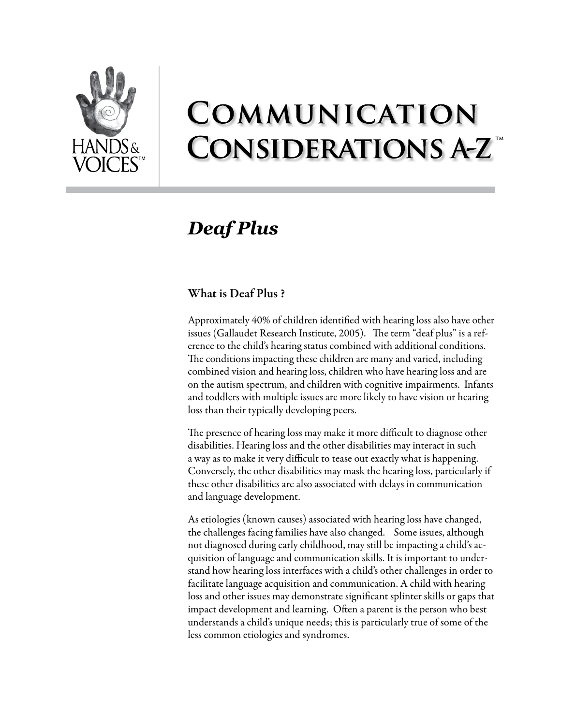

# COMMUNICATION **CONSIDERATIONS A-Z**

# *Deaf Plus*

## What is Deaf Plus ?

Approximately 40% of children identified with hearing loss also have other issues (Gallaudet Research Institute, 2005). The term "deaf plus" is a reference to the child's hearing status combined with additional conditions. The conditions impacting these children are many and varied, including combined vision and hearing loss, children who have hearing loss and are on the autism spectrum, and children with cognitive impairments. Infants and toddlers with multiple issues are more likely to have vision or hearing loss than their typically developing peers.

The presence of hearing loss may make it more difficult to diagnose other disabilities. Hearing loss and the other disabilities may interact in such a way as to make it very difficult to tease out exactly what is happening. Conversely, the other disabilities may mask the hearing loss, particularly if these other disabilities are also associated with delays in communication and language development.

As etiologies (known causes) associated with hearing loss have changed, the challenges facing families have also changed. Some issues, although not diagnosed during early childhood, may still be impacting a child's acquisition of language and communication skills. It is important to understand how hearing loss interfaces with a child's other challenges in order to facilitate language acquisition and communication. A child with hearing loss and other issues may demonstrate significant splinter skills or gaps that impact development and learning. Often a parent is the person who best understands a child's unique needs; this is particularly true of some of the less common etiologies and syndromes.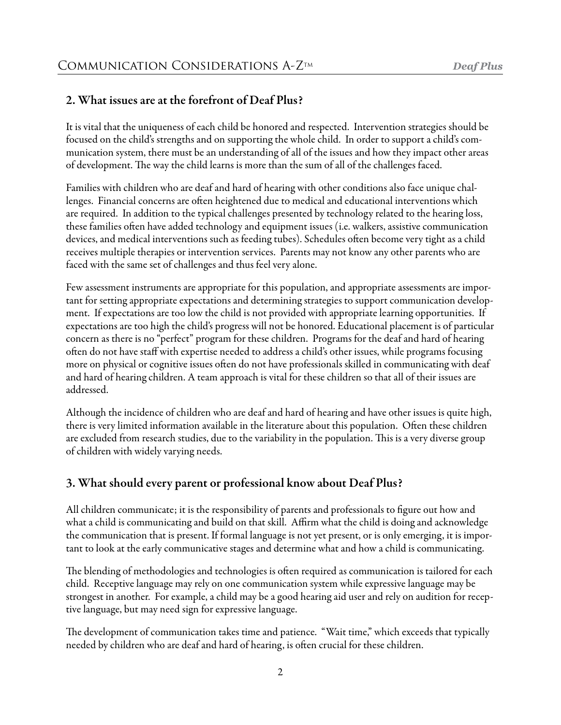## 2. What issues are at the forefront of Deaf Plus?

It is vital that the uniqueness of each child be honored and respected. Intervention strategies should be focused on the child's strengths and on supporting the whole child. In order to support a child's communication system, there must be an understanding of all of the issues and how they impact other areas of development. The way the child learns is more than the sum of all of the challenges faced.

Families with children who are deaf and hard of hearing with other conditions also face unique challenges. Financial concerns are often heightened due to medical and educational interventions which are required. In addition to the typical challenges presented by technology related to the hearing loss, these families often have added technology and equipment issues (i.e. walkers, assistive communication devices, and medical interventions such as feeding tubes). Schedules often become very tight as a child receives multiple therapies or intervention services. Parents may not know any other parents who are faced with the same set of challenges and thus feel very alone.

Few assessment instruments are appropriate for this population, and appropriate assessments are important for setting appropriate expectations and determining strategies to support communication development. If expectations are too low the child is not provided with appropriate learning opportunities. If expectations are too high the child's progress will not be honored. Educational placement is of particular concern as there is no "perfect" program for these children. Programs for the deaf and hard of hearing often do not have staff with expertise needed to address a child's other issues, while programs focusing more on physical or cognitive issues often do not have professionals skilled in communicating with deaf and hard of hearing children. A team approach is vital for these children so that all of their issues are addressed.

Although the incidence of children who are deaf and hard of hearing and have other issues is quite high, there is very limited information available in the literature about this population. Often these children are excluded from research studies, due to the variability in the population. This is a very diverse group of children with widely varying needs.

## 3. What should every parent or professional know about Deaf Plus?

All children communicate; it is the responsibility of parents and professionals to figure out how and what a child is communicating and build on that skill. Affirm what the child is doing and acknowledge the communication that is present. If formal language is not yet present, or is only emerging, it is important to look at the early communicative stages and determine what and how a child is communicating.

The blending of methodologies and technologies is often required as communication is tailored for each child. Receptive language may rely on one communication system while expressive language may be strongest in another. For example, a child may be a good hearing aid user and rely on audition for receptive language, but may need sign for expressive language.

The development of communication takes time and patience. "Wait time," which exceeds that typically needed by children who are deaf and hard of hearing, is often crucial for these children.